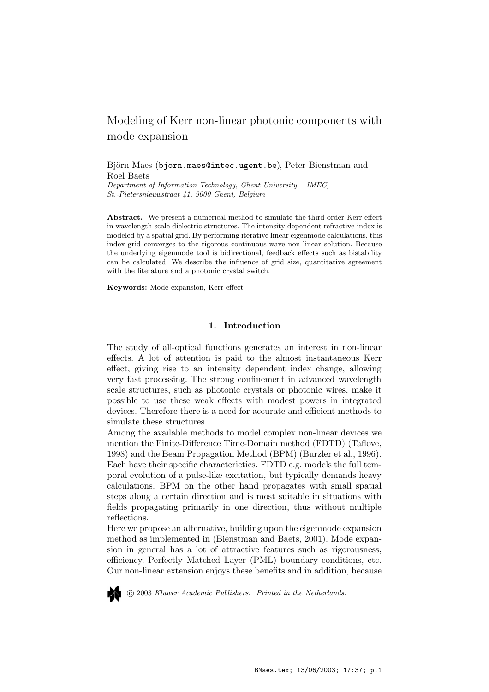# Modeling of Kerr non-linear photonic components with mode expansion

Björn Maes (bjorn.maes@intec.ugent.be), Peter Bienstman and Roel Baets

Department of Information Technology, Ghent University – IMEC, St.-Pietersnieuwstraat 41, 9000 Ghent, Belgium

Abstract. We present a numerical method to simulate the third order Kerr effect in wavelength scale dielectric structures. The intensity dependent refractive index is modeled by a spatial grid. By performing iterative linear eigenmode calculations, this index grid converges to the rigorous continuous-wave non-linear solution. Because the underlying eigenmode tool is bidirectional, feedback effects such as bistability can be calculated. We describe the influence of grid size, quantitative agreement with the literature and a photonic crystal switch.

Keywords: Mode expansion, Kerr effect

# 1. Introduction

The study of all-optical functions generates an interest in non-linear effects. A lot of attention is paid to the almost instantaneous Kerr effect, giving rise to an intensity dependent index change, allowing very fast processing. The strong confinement in advanced wavelength scale structures, such as photonic crystals or photonic wires, make it possible to use these weak effects with modest powers in integrated devices. Therefore there is a need for accurate and efficient methods to simulate these structures.

Among the available methods to model complex non-linear devices we mention the Finite-Difference Time-Domain method (FDTD) (Taflove, 1998) and the Beam Propagation Method (BPM) (Burzler et al., 1996). Each have their specific characterictics. FDTD e.g. models the full temporal evolution of a pulse-like excitation, but typically demands heavy calculations. BPM on the other hand propagates with small spatial steps along a certain direction and is most suitable in situations with fields propagating primarily in one direction, thus without multiple reflections.

Here we propose an alternative, building upon the eigenmode expansion method as implemented in (Bienstman and Baets, 2001). Mode expansion in general has a lot of attractive features such as rigorousness, efficiency, Perfectly Matched Layer (PML) boundary conditions, etc. Our non-linear extension enjoys these benefits and in addition, because



c 2003 Kluwer Academic Publishers. Printed in the Netherlands.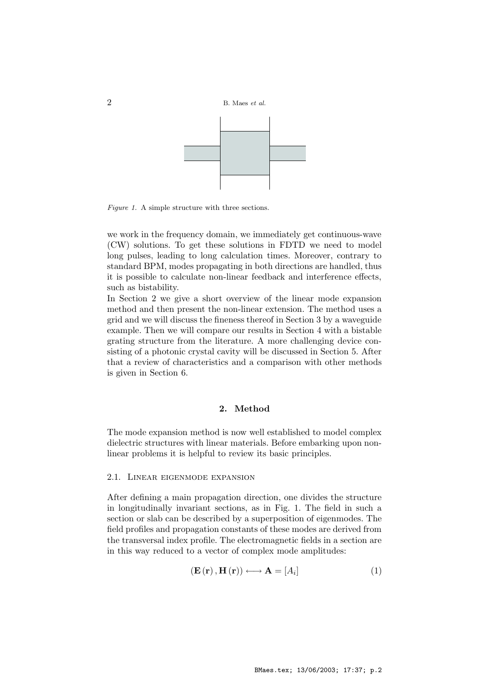2 B. Maes et al.



Figure 1. A simple structure with three sections.

we work in the frequency domain, we immediately get continuous-wave (CW) solutions. To get these solutions in FDTD we need to model long pulses, leading to long calculation times. Moreover, contrary to standard BPM, modes propagating in both directions are handled, thus it is possible to calculate non-linear feedback and interference effects, such as bistability.

In Section 2 we give a short overview of the linear mode expansion method and then present the non-linear extension. The method uses a grid and we will discuss the fineness thereof in Section 3 by a waveguide example. Then we will compare our results in Section 4 with a bistable grating structure from the literature. A more challenging device consisting of a photonic crystal cavity will be discussed in Section 5. After that a review of characteristics and a comparison with other methods is given in Section 6.

# 2. Method

The mode expansion method is now well established to model complex dielectric structures with linear materials. Before embarking upon nonlinear problems it is helpful to review its basic principles.

#### 2.1. Linear eigenmode expansion

After defining a main propagation direction, one divides the structure in longitudinally invariant sections, as in Fig. 1. The field in such a section or slab can be described by a superposition of eigenmodes. The field profiles and propagation constants of these modes are derived from the transversal index profile. The electromagnetic fields in a section are in this way reduced to a vector of complex mode amplitudes:

$$
\left(\mathbf{E}\left(\mathbf{r}\right),\mathbf{H}\left(\mathbf{r}\right)\right)\longleftrightarrow\mathbf{A}=\left[A_{i}\right]
$$
\n(1)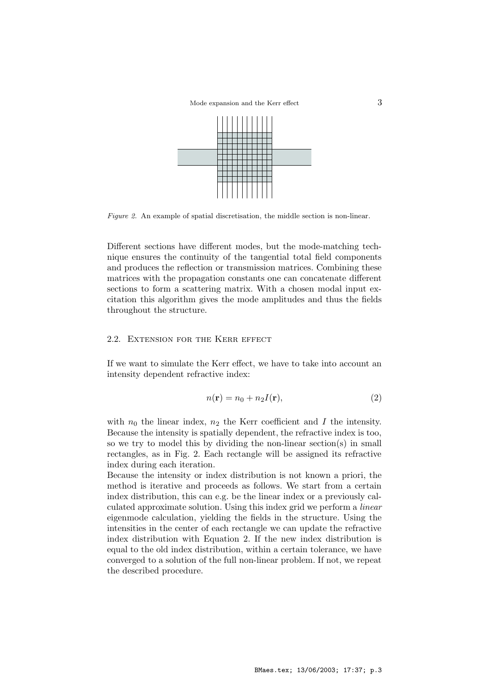Mode expansion and the Kerr effect  $3$ 



Figure 2. An example of spatial discretisation, the middle section is non-linear.

Different sections have different modes, but the mode-matching technique ensures the continuity of the tangential total field components and produces the reflection or transmission matrices. Combining these matrices with the propagation constants one can concatenate different sections to form a scattering matrix. With a chosen modal input excitation this algorithm gives the mode amplitudes and thus the fields throughout the structure.

## 2.2. Extension for the Kerr effect

If we want to simulate the Kerr effect, we have to take into account an intensity dependent refractive index:

$$
n(\mathbf{r}) = n_0 + n_2 I(\mathbf{r}),\tag{2}
$$

with  $n_0$  the linear index,  $n_2$  the Kerr coefficient and I the intensity. Because the intensity is spatially dependent, the refractive index is too, so we try to model this by dividing the non-linear section(s) in small rectangles, as in Fig. 2. Each rectangle will be assigned its refractive index during each iteration.

Because the intensity or index distribution is not known a priori, the method is iterative and proceeds as follows. We start from a certain index distribution, this can e.g. be the linear index or a previously calculated approximate solution. Using this index grid we perform a linear eigenmode calculation, yielding the fields in the structure. Using the intensities in the center of each rectangle we can update the refractive index distribution with Equation 2. If the new index distribution is equal to the old index distribution, within a certain tolerance, we have converged to a solution of the full non-linear problem. If not, we repeat the described procedure.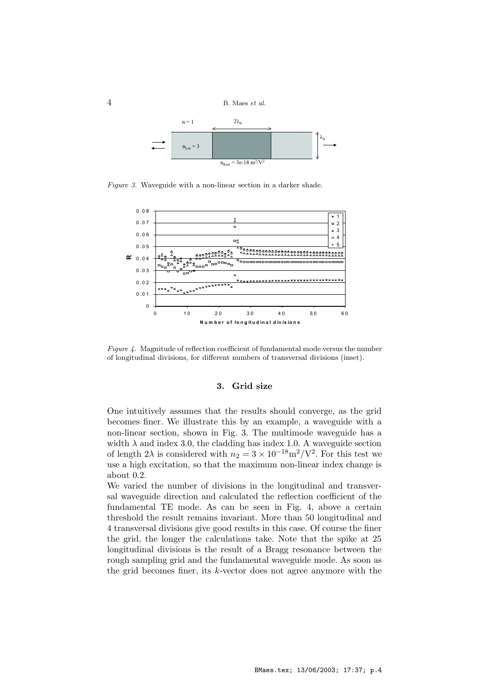$4$  B. Maes *et al.* 



Figure 3. Waveguide with a non-linear section in a darker shade.



Figure 4. Magnitude of reflection coefficient of fundamental mode versus the number of longitudinal divisions, for different numbers of transversal divisions (inset).

#### 3. Grid size

One intuitively assumes that the results should converge, as the grid becomes finer. We illustrate this by an example, a waveguide with a non-linear section, shown in Fig. 3. The multimode waveguide has a width  $\lambda$  and index 3.0, the cladding has index 1.0. A waveguide section of length 2 $\lambda$  is considered with  $n_2 = 3 \times 10^{-18} \text{m}^2/\text{V}^2$ . For this test we use a high excitation, so that the maximum non-linear index change is about 0.2.

We varied the number of divisions in the longitudinal and transversal waveguide direction and calculated the reflection coefficient of the fundamental TE mode. As can be seen in Fig. 4, above a certain threshold the result remains invariant. More than 50 longitudinal and 4 transversal divisions give good results in this case. Of course the finer the grid, the longer the calculations take. Note that the spike at 25 longitudinal divisions is the result of a Bragg resonance between the rough sampling grid and the fundamental waveguide mode. As soon as the grid becomes finer, its  $k$ -vector does not agree anymore with the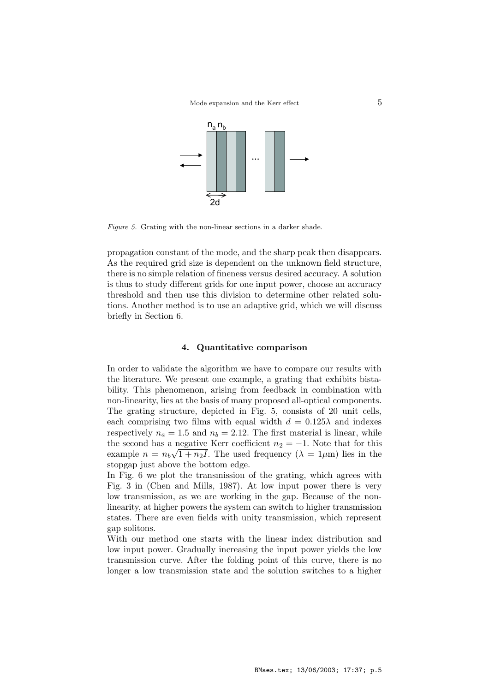

Figure 5. Grating with the non-linear sections in a darker shade.

propagation constant of the mode, and the sharp peak then disappears. As the required grid size is dependent on the unknown field structure, there is no simple relation of fineness versus desired accuracy. A solution is thus to study different grids for one input power, choose an accuracy threshold and then use this division to determine other related solutions. Another method is to use an adaptive grid, which we will discuss briefly in Section 6.

# 4. Quantitative comparison

In order to validate the algorithm we have to compare our results with the literature. We present one example, a grating that exhibits bistability. This phenomenon, arising from feedback in combination with non-linearity, lies at the basis of many proposed all-optical components. The grating structure, depicted in Fig. 5, consists of 20 unit cells, each comprising two films with equal width  $d = 0.125\lambda$  and indexes respectively  $n_a = 1.5$  and  $n_b = 2.12$ . The first material is linear, while the second has a negative Kerr coefficient  $n_2 = -1$ . Note that for this example  $n = n_b\sqrt{1 + n_2I}$ . The used frequency  $(\lambda = 1 \mu m)$  lies in the stopgap just above the bottom edge.

In Fig. 6 we plot the transmission of the grating, which agrees with Fig. 3 in (Chen and Mills, 1987). At low input power there is very low transmission, as we are working in the gap. Because of the nonlinearity, at higher powers the system can switch to higher transmission states. There are even fields with unity transmission, which represent gap solitons.

With our method one starts with the linear index distribution and low input power. Gradually increasing the input power yields the low transmission curve. After the folding point of this curve, there is no longer a low transmission state and the solution switches to a higher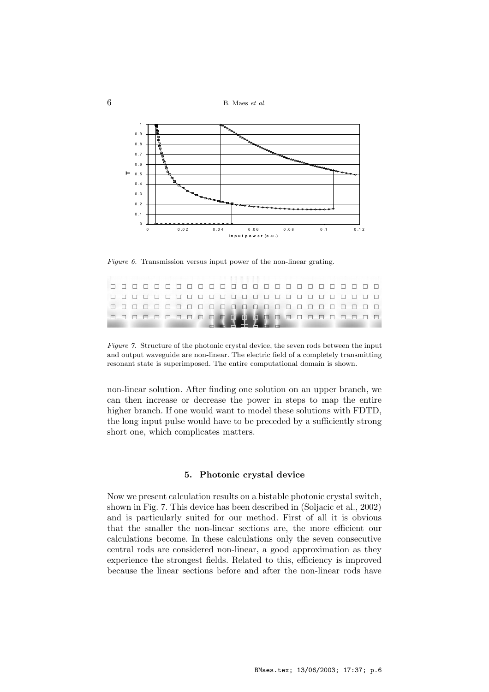$6$  B. Maes *et al.* 



Figure 6. Transmission versus input power of the non-linear grating.

|  |  |  |  |  |  |  |  |  |  |  |  | ---------------------------- |
|--|--|--|--|--|--|--|--|--|--|--|--|------------------------------|
|  |  |  |  |  |  |  |  |  |  |  |  | 0000000000000000000000000    |
|  |  |  |  |  |  |  |  |  |  |  |  | 0000000000000000000000000    |
|  |  |  |  |  |  |  |  |  |  |  |  | 0000000000000000000000000    |
|  |  |  |  |  |  |  |  |  |  |  |  |                              |

Figure 7. Structure of the photonic crystal device, the seven rods between the input and output waveguide are non-linear. The electric field of a completely transmitting resonant state is superimposed. The entire computational domain is shown.

non-linear solution. After finding one solution on an upper branch, we can then increase or decrease the power in steps to map the entire higher branch. If one would want to model these solutions with FDTD, the long input pulse would have to be preceded by a sufficiently strong short one, which complicates matters.

# 5. Photonic crystal device

Now we present calculation results on a bistable photonic crystal switch, shown in Fig. 7. This device has been described in (Soljacic et al., 2002) and is particularly suited for our method. First of all it is obvious that the smaller the non-linear sections are, the more efficient our calculations become. In these calculations only the seven consecutive central rods are considered non-linear, a good approximation as they experience the strongest fields. Related to this, efficiency is improved because the linear sections before and after the non-linear rods have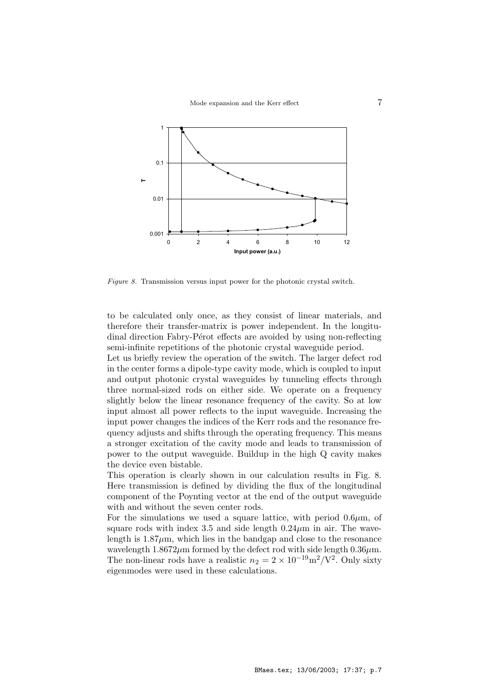

Figure 8. Transmission versus input power for the photonic crystal switch.

to be calculated only once, as they consist of linear materials, and therefore their transfer-matrix is power independent. In the longitudinal direction Fabry-Pérot effects are avoided by using non-reflecting semi-infinite repetitions of the photonic crystal waveguide period.

Let us briefly review the operation of the switch. The larger defect rod in the center forms a dipole-type cavity mode, which is coupled to input and output photonic crystal waveguides by tunneling effects through three normal-sized rods on either side. We operate on a frequency slightly below the linear resonance frequency of the cavity. So at low input almost all power reflects to the input waveguide. Increasing the input power changes the indices of the Kerr rods and the resonance frequency adjusts and shifts through the operating frequency. This means a stronger excitation of the cavity mode and leads to transmission of power to the output waveguide. Buildup in the high Q cavity makes the device even bistable.

This operation is clearly shown in our calculation results in Fig. 8. Here transmission is defined by dividing the flux of the longitudinal component of the Poynting vector at the end of the output waveguide with and without the seven center rods.

For the simulations we used a square lattice, with period  $0.6\mu$ m, of square rods with index 3.5 and side length  $0.24 \mu m$  in air. The wavelength is  $1.87 \mu m$ , which lies in the bandgap and close to the resonance wavelength  $1.8672 \mu m$  formed by the defect rod with side length  $0.36 \mu m$ . The non-linear rods have a realistic  $n_2 = 2 \times 10^{-19} \text{m}^2/\text{V}^2$ . Only sixty eigenmodes were used in these calculations.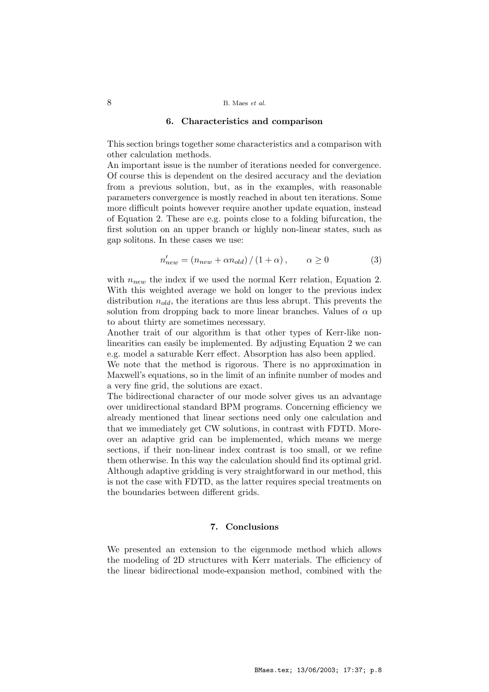## 8 B. Maes et al.

#### 6. Characteristics and comparison

This section brings together some characteristics and a comparison with other calculation methods.

An important issue is the number of iterations needed for convergence. Of course this is dependent on the desired accuracy and the deviation from a previous solution, but, as in the examples, with reasonable parameters convergence is mostly reached in about ten iterations. Some more difficult points however require another update equation, instead of Equation 2. These are e.g. points close to a folding bifurcation, the first solution on an upper branch or highly non-linear states, such as gap solitons. In these cases we use:

$$
n'_{new} = (n_{new} + \alpha n_{old}) / (1 + \alpha), \qquad \alpha \ge 0
$$
 (3)

with  $n_{new}$  the index if we used the normal Kerr relation, Equation 2. With this weighted average we hold on longer to the previous index distribution  $n_{old}$ , the iterations are thus less abrupt. This prevents the solution from dropping back to more linear branches. Values of  $\alpha$  up to about thirty are sometimes necessary.

Another trait of our algorithm is that other types of Kerr-like nonlinearities can easily be implemented. By adjusting Equation 2 we can e.g. model a saturable Kerr effect. Absorption has also been applied.

We note that the method is rigorous. There is no approximation in Maxwell's equations, so in the limit of an infinite number of modes and a very fine grid, the solutions are exact.

The bidirectional character of our mode solver gives us an advantage over unidirectional standard BPM programs. Concerning efficiency we already mentioned that linear sections need only one calculation and that we immediately get CW solutions, in contrast with FDTD. Moreover an adaptive grid can be implemented, which means we merge sections, if their non-linear index contrast is too small, or we refine them otherwise. In this way the calculation should find its optimal grid. Although adaptive gridding is very straightforward in our method, this is not the case with FDTD, as the latter requires special treatments on the boundaries between different grids.

# 7. Conclusions

We presented an extension to the eigenmode method which allows the modeling of 2D structures with Kerr materials. The efficiency of the linear bidirectional mode-expansion method, combined with the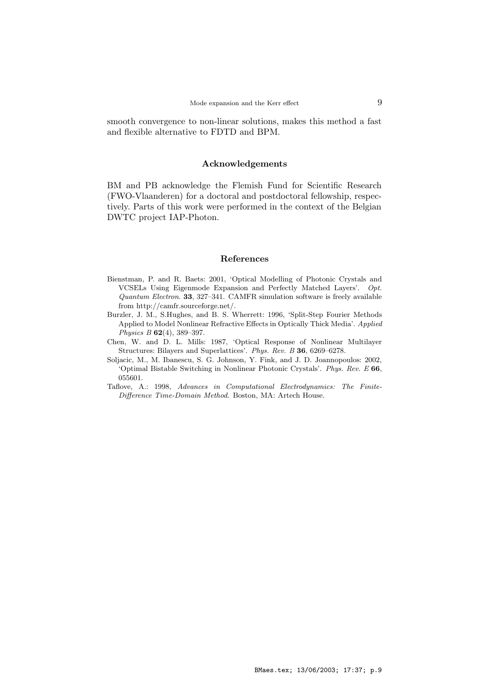smooth convergence to non-linear solutions, makes this method a fast and flexible alternative to FDTD and BPM.

#### Acknowledgements

BM and PB acknowledge the Flemish Fund for Scientific Research (FWO-Vlaanderen) for a doctoral and postdoctoral fellowship, respectively. Parts of this work were performed in the context of the Belgian DWTC project IAP-Photon.

#### References

- Bienstman, P. and R. Baets: 2001, 'Optical Modelling of Photonic Crystals and VCSELs Using Eigenmode Expansion and Perfectly Matched Layers'. Opt. Quantum Electron. 33, 327–341. CAMFR simulation software is freely available from http://camfr.sourceforge.net/.
- Burzler, J. M., S.Hughes, and B. S. Wherrett: 1996, 'Split-Step Fourier Methods Applied to Model Nonlinear Refractive Effects in Optically Thick Media'. Applied Physics B 62(4), 389–397.
- Chen, W. and D. L. Mills: 1987, 'Optical Response of Nonlinear Multilayer Structures: Bilayers and Superlattices'. Phys. Rev. B 36, 6269–6278.
- Soljacic, M., M. Ibanescu, S. G. Johnson, Y. Fink, and J. D. Joannopoulos: 2002, 'Optimal Bistable Switching in Nonlinear Photonic Crystals'. Phys. Rev. E 66, 055601.
- Taflove, A.: 1998, Advances in Computational Electrodynamics: The Finite-Difference Time-Domain Method. Boston, MA: Artech House.